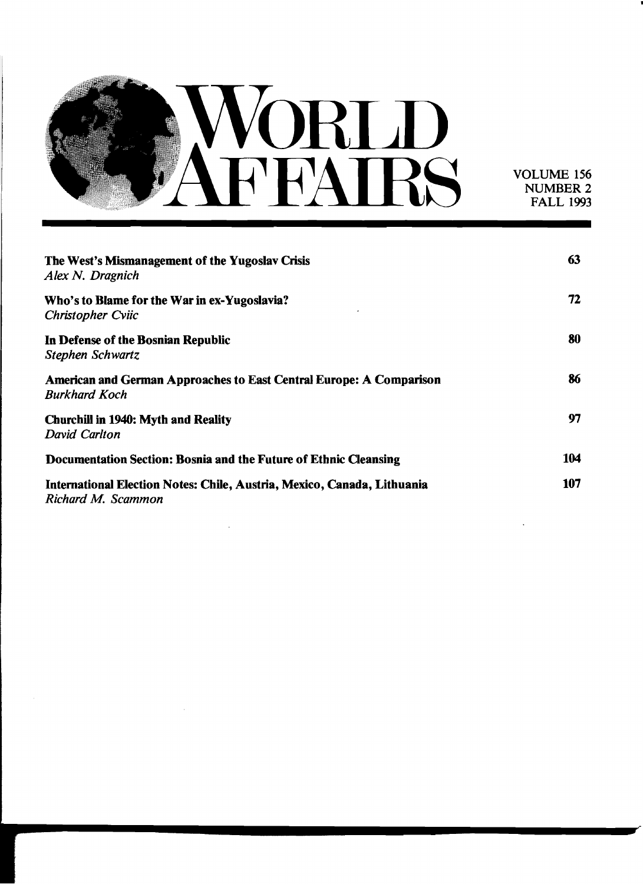

VOLUME 156 NUMBER 2 FALL 1993

| The West's Mismanagement of the Yugoslav Crisis<br>Alex N. Dragnich                                | 63  |
|----------------------------------------------------------------------------------------------------|-----|
| Who's to Blame for the War in ex-Yugoslavia?<br><b>Christopher Cviic</b>                           | 72  |
| In Defense of the Bosnian Republic<br>Stephen Schwartz                                             | 80  |
| <b>American and German Approaches to East Central Europe: A Comparison</b><br><b>Burkhard Koch</b> | 86  |
| <b>Churchill in 1940: Myth and Reality</b><br>David Carlton                                        | 97  |
| Documentation Section: Bosnia and the Future of Ethnic Cleansing                                   | 104 |
| International Election Notes: Chile, Austria, Mexico, Canada, Lithuania<br>Richard M. Scammon      | 107 |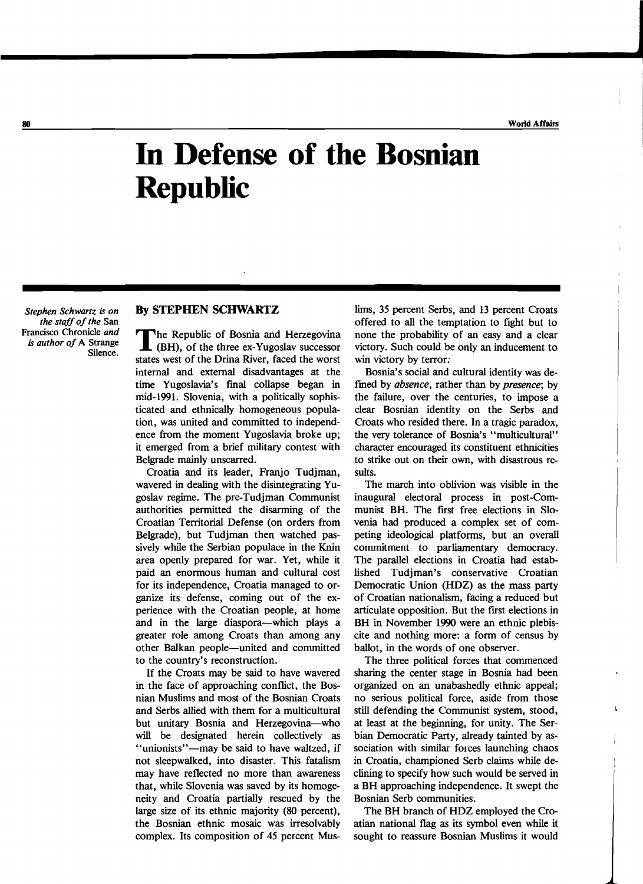## **In Defense of the Bosnian Republic**

**\_\_\_\_\_\_\_\_\_\_\_\_\_\_\_\_\_\_\_\_\_\_J** 

*Stephen Schwartz is on the staff of the* San Francisco Chronicle *and is author of* A Strange Silence.

## By STEPHEN SCHWARTZ

The Republic of Bosnia and Herzegovina<br>
(BH), of the three ex-Yugoslav successor states west of the Drina River, faced the worst internal and external disadvantages at the time Yugoslavia's final collapse began in mid-1991. Slovenia, with a politically sophisticated and ethnically homogeneous population, was united and committed to independence from the moment Yugoslavia broke up; it emerged from a brief military contest with Belgrade mainly unscarred.

Croatia and its leader, Franjo Tudjman, wavered in dealing with the disintegrating Yugoslav regime. The pre-Tudjman Communist authorities permitted the disarming of the Croatian Territorial Defense (on orders from Belgrade), but Tudjman then watched passively while the Serbian populace in the Knin area openly prepared for war. Yet, while it paid an enormous human and cultural cost for its independence, Croatia managed to organize its defense, coming out of the experience with the Croatian people, at home and in the large diaspora—which plays a greater role among Croats than among any other Balkan people-united and committed to the country's reconstruction.

If the Croats may be said to have wavered in the face of approaching conflict, the Bosnian Muslims and most of the Bosnian Croats and Serbs allied with them for a multicultural but unitary Bosnia and Herzegovina-who will be designated herein collectively as "unionists"-may be said to have waltzed, if not sleepwalked, into disaster. This fatalism may have reflected no more than awareness that, while Slovenia was saved by its homogeneity and Croatia partially rescued by the large size of its ethnic majority (80 percent), the Bosnian ethnic mosaic was irresolvably complex. Its composition of 45 percent Muslims, 35 percent Serbs, and 13 percent Croats offered to all the temptation to fight but to none the probability of an easy and a clear victory. Such could be only an inducement to win victory by terror.

Bosnia's social and cultural identity was defined by *absence,* rather than by *presence;* by the failure, over the centuries, to impose a clear Bosnian. identity on the Serbs and Croats who resided there. In a tragic paradox, the very tolerance of Bosnia's "multicultural" character encouraged its constituent ethnicities to strike out on their own, with disastrous results.

The march into oblivion was visible in the inaugural electoral process in post-Communist BH. The first free elections in Slovenia had produced a complex set of competing ideological platforms, but an overall commitment to parliamentary democracy. The parallel elections in Croatia had established Tudjman's conservative Croatian Democratic Union (HDZ) as the mass party of Croatian nationalism, facing a reduced but articulate opposition. But the first elections in BH in November 1990 were an ethnic plebiscite and nothing more: a form of census by ballot, in the words of one observer.

The three political forces that commenced sharing the center stage in Bosnia had been organized on an unabashedly ethnic appeal; no serious political force, aside from those still defending the Communist system, stood, at least at the beginning, for unity. The Serbian Democratic Party, already tainted by association with similar forces launching chaos in Croatia, championed Serb claims while declining to specify how such would be served in a BH approaching independence. It swept the Bosnian Serb communities.

The BH branch of HDZ employed the Croatian national flag as its symbol even while it sought to reassure Bosnian Muslims it would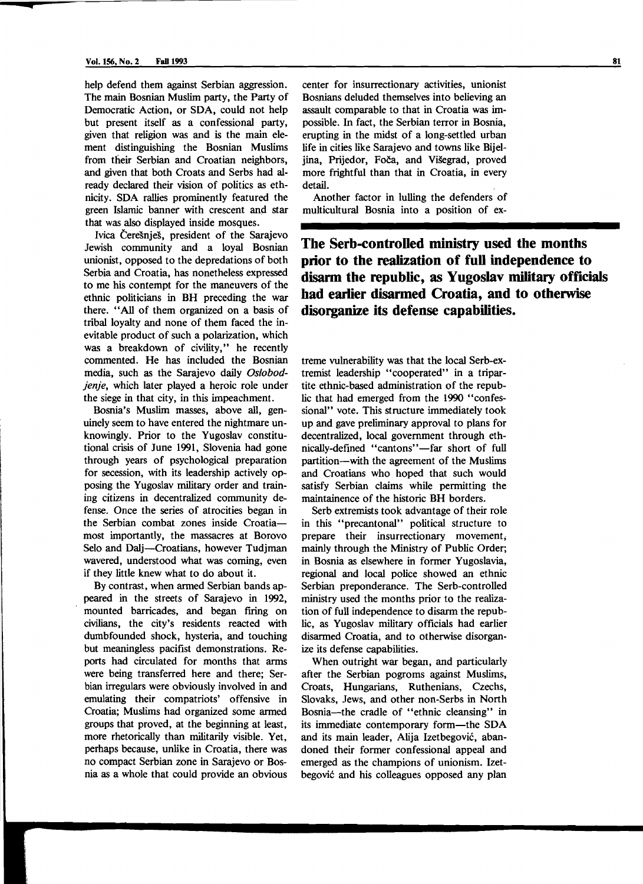**<** 

help defend them against Serbian aggression. The main Bosnian Muslim party, the Party of Democratic Action, or SDA, could not help but present itself as a confessional party, given that religion was and is the main element distinguishing the Bosnian Muslims from their Serbian and Croatian neighbors, and given that both Croats and Serbs had already declared their vision of politics as ethnicity. SDA rallies prominently featured the green Islamic banner with crescent and star that was also displayed inside mosques.

Ivica Ceresnjes, president of the Sarajevo Jewish community and a loyal Bosnian unionist, opposed to the depredations of both Serbia and Croatia, has nonetheless expressed to me his contempt for the maneuvers of the ethnic politicians in BH preceding the war there. "All of them organized on a basis of tribal loyalty and none of them faced the inevitable product of such a polarization, which was a breakdown of civility," he recently commented. He has included the Bosnian media, such as the Sarajevo daily Os/obod*jenje,* which later played a heroic role under the siege in that city, in this impeachment.

Bosnia's Muslim masses, above all, genuinely seem to have entered the nightmare unknowingly. Prior to the Yugoslav constitutional crisis of June 1991, Slovenia had gone through years of psychological preparation for secession, with its leadership actively opposing the Yugoslav military order and training citizens in decentralized community defense. Once the series of atrocities began in the Serbian combat zones inside Croatiamost importantly, the massacres at Borovo Selo and Dalj-Croatians, however Tudjman wavered, understood what was coming, even if they little knew what to do about it.

By contrast, when armed Serbian bands appeared in the streets of Sarajevo in 1992, mounted barricades, and began firing on civilians, the city's residents reacted with dumbfounded shock, hysteria, and touching but meaningless pacifist demonstrations. Reports had circulated for months that arms were being transferred here and there; Serbian irregulars were obviously involved in and emulating their compatriots' offensive in Croatia; Muslims had organized some armed groups that proved, at the beginning at least, more rhetorically than militarily visible. Yet, perhaps because, unlike in Croatia, there was no compact Serbian zone in Sarajevo or Bosnia as a whole that could provide an obvious

center for insurrectionary activities, unionist Bosnians deluded themselves into believing an assault comparable to that in Croatia was impossible. In fact, the Serbian terror in Bosnia, erupting in the midst of a long-settled urban life in cities like Sarajevo and towns like Bijeljina, Prijedor, Foca, and Visegrad, proved more frightful than that in Croatia, in every detail.

Another factor in lulling the defenders of multicultural Bosnia into a position of ex-

**The Serb-controlled ministry used the months prior to the realization of full independence to disarm the republic, as Yugoslav military officials had earlier disarmed Croatia, and to otherwise disorganize its defense capabilities.** 

treme vulnerability was that the local Serb-extremist leadership "cooperated" in a tripartite ethnic-based administration of the republic that had emerged from the 1990 "confessional" vote. This structure immediately took up and gave preliminary approval to plans for decentralized, local government through ethnically-defined "cantons"-far short of full partition-with the agreement of the Muslims and Croatians who hoped that such would satisfy Serbian claims while permitting the maintainence of the historic BH borders.

Serb extremists took advantage of their role in this "precantonal" political structure to prepare their insurrectionary movement, mainly through the Ministry of Public Order; in Bosnia as elsewhere in former Yugoslavia, regional and local police showed an ethnic Serbian preponderance. The Serb-controlled ministry used the months prior to the realization of full independence to disarm the republic, as Yugoslav military officials had earlier disarmed Croatia, and to otherwise disorganize its defense capabilities.

When outright war began, and particularly after the Serbian pogroms against Muslims, Croats, Hungarians, Ruthenians, Czechs, Slovaks, Jews, and other non-Serbs in North Bosnia-the cradle of "ethnic cleansing" in its immediate contemporary form-the SDA and its main leader, Alija Izetbegovic, abandoned their former confessional appeal and emerged as the champions of unionism. Izetbegovic and his colleagues opposed any plan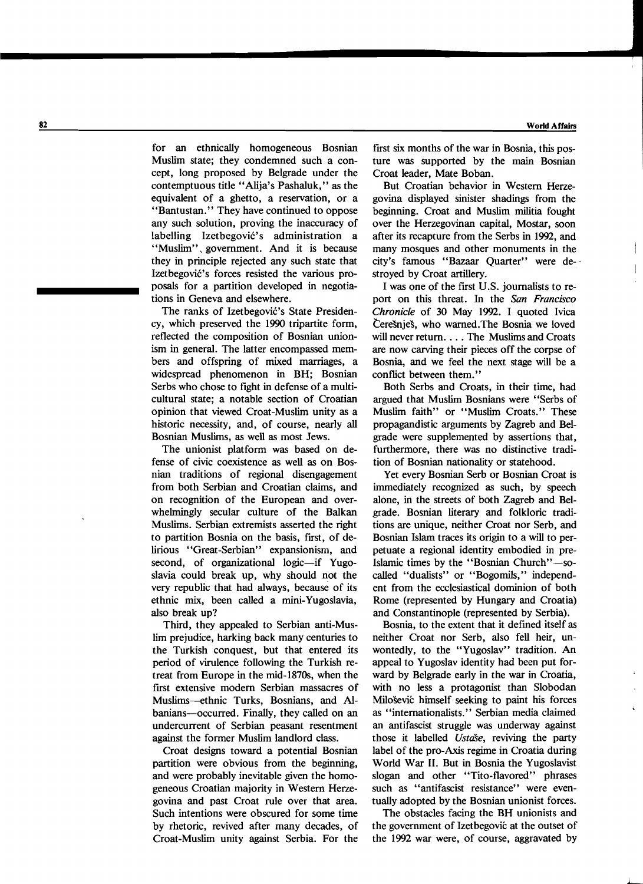for an ethnically homogeneous Bosnian Muslim state; they condemned such a concept, long proposed by Belgrade under the contemptuous title "Alija's Pashaluk," as the equivalent of a ghetto, a reservation, or a "Bantustan." They have continued to oppose any such solution, proving the inaccuracy of labelling Izetbegovic's administration a "Muslim", government. And it is because they in principle rejected any such state that Izetbegović's forces resisted the various proposals for a partition developed in negotiations in Geneva and elsewhere.

The ranks of Izetbegović's State Presidency, which preserved the 1990 tripartite form, reflected the composition of Bosnian unionism in general. The latter encompassed members and offspring of mixed marriages, a widespread phenomenon in BH; Bosnian Serbs who chose to fight in defense of a multicultural state; a notable section of Croatian opinion that viewed Croat-Muslim unity as a historic necessity, and, of course, nearly all Bosnian Muslims, as well as most Jews.

The unionist platform was based on defense of civic coexistence as well as on Bosnian traditions of regional disengagement from both Serbian and Croatian claims, and on recognition of the European and overwhelmingly secular culture of the Balkan Muslims. Serbian extremists asserted the right to partition Bosnia on the basis, first, of delirious "Great-Serbian" expansionism, and second, of organizational logic-if Yugoslavia could break up, why should not the very republic that had always, because of its ethnic mix, been called a mini-Yugoslavia, also break up?

Third, they appealed to Serbian anti-Muslim prejudice, harking back many centuries to the Turkish conquest, but that entered its period of virulence following the Turkish retreat from Europe in the mid-1870s, when the first extensive modem Serbian massacres of Muslims-ethnic Turks, Bosnians, and Albanians-occurred. Finally, they called on an undercurrent of Serbian peasant resentment against the former Muslim landlord class.

Croat designs toward a potential Bosnian partition were obvious from the beginning, and were probably inevitable given the homogeneous Croatian majority in Western Herzegovina and past Croat rule over that area. Such intentions were obscured for some time by rhetoric, revived after many decades, of Croat-Muslim unity against Serbia. For the

first six months of the war in Bosnia, this posture was supported by the main Bosnian Croat leader, Mate Boban.

But Croatian behavior in Western Herzegovina displayed sinister shadings from the beginning. Croat and Muslim militia fought over the Herzegovinan capital, Mostar, soon after its recapture from the Serbs in 1992, and many mosques and other monuments in the city's famous "Bazaar Quarter" were destroyed by Croat artillery.

I was one of the first U.S. journalists to report on this threat. In the *San Francisco Chronicle* of 30 May 1992. I quoted Ivica Čerešnješ, who warned.The Bosnia we loved will never return.... The Muslims and Croats are now carving their pieces off the corpse of Bosnia, and we feel the next stage will be a conflict between them."

Both Serbs and Croats, in their time, had argued that Muslim Bosnians were "Serbs of Muslim faith" or "Muslim Croats." These propagandistic arguments by Zagreb and Belgrade were supplemented by assertions that, furthermore, there was no distinctive tradition of Bosnian nationality or statehood.

Yet every Bosnian Serb or Bosnian Croat is immediately recognized as such, by speech alone, in the streets of both Zagreb and Belgrade. Bosnian literary and folkloric traditions are unique, neither Croat nor Serb, and Bosnian Islam traces its origin to a will to perpetuate a regional identity embodied in pre-Islamic times by the "Bosnian Church"-socalled "dualists" or "Bogomils," independent from the ecclesiastical dominion of both Rome (represented by Hungary and Croatia) and Constantinople (represented by Serbia).

Bosnia, to the extent that it defined itself as neither Croat nor Serb, also fell heir, unwontedly, to the "Yugoslav" tradition. An appeal to Yugoslav identity had been put forward by Belgrade early in the war in Croatia, with no less a protagonist than Slobodan Milosevic himself seeking to paint his forces as "internationalists." Serbian media claimed an antifascist struggle was underway against those it labelled *UstdSe,* reviving the party label of the pro-Axis regime in Croatia during World War II. But in Bosnia the Yugoslavist slogan and other "Tito-flavored" phrases such as "antifascist resistance" were eventually adopted by the Bosnian unionist forces.

The obstacles facing the BH unionists and the government of Izetbegovic at the outset of the 1992 war were, of course, aggravated by

 $\perp$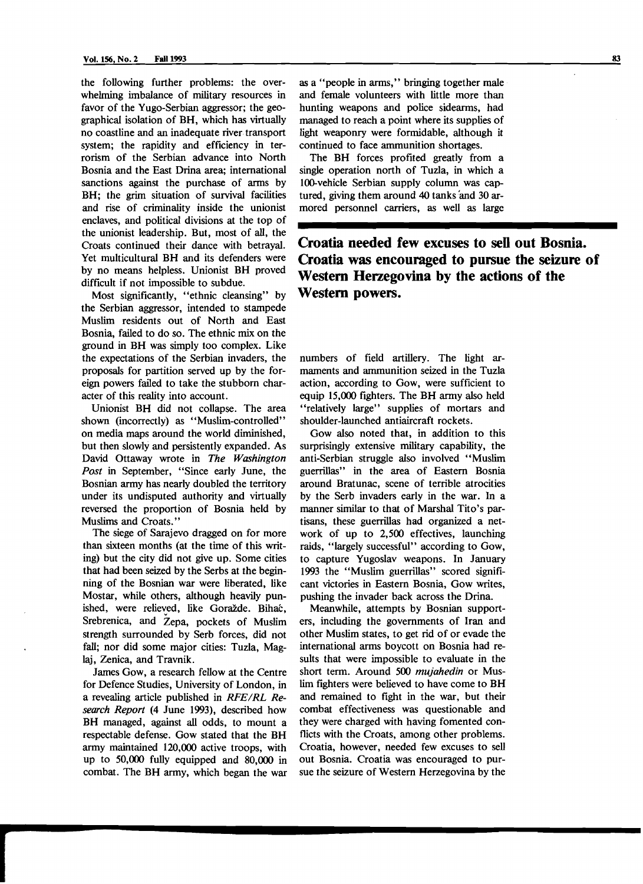the following further problems: the overwhelming imbalance of military resources in favor of the Yugo-Serbian aggressor; the geographical isolation of BH, which has virtually no coastline and an inadequate river transport system; the rapidity and efficiency in terrorism of the Serbian advance into North Bosnia and the East Drina area; international sanctions against the purchase of arms by BH; the grim situation of survival facilities and rise of criminality inside the unionist enclaves, and political divisions at the top of the unionist leadership. But, most of all, the Croats continued their dance with betrayal. Yet multicultural BH and its defenders were by no means helpless. Unionist BH proved difficult if not impossible to subdue.

Most significantly, "ethnic cleansing" by the Serbian aggressor, intended to stampede Muslim residents out of North and East Bosnia, failed to do so. The ethnic mix on the ground in BH was simply too complex. Like the expectations of the Serbian invaders, the proposals for partition served up by the foreign powers failed to take the stubborn character of this reality into account.

Unionist BH did not collapse. The area shown (incorrectly) as "Muslim-controlled" on media maps around the world diminished, but then slowly and persistently expanded. As David Ottaway wrote in *The Washington Post* in September, "Since early June, the Bosnian army has nearly doubled the territory under its undisputed authority and virtually reversed the proportion of Bosnia held by Muslims and Croats."

The siege of Sarajevo dragged on for more than sixteen months (at the time of this writing) but the city did not give up. Some cities that had been seized by the Serbs at the beginning of the Bosnian war were liberated, like Mostar, while others, although heavily punished, were relieved, like Goražde. Bihać, Srebrenica, and Zepa, pockets of Muslim strength surrounded by Serb forces, did not fall; nor did some major cities: Tuzla, Maglaj, Zenica, and Travnik.

James Gow, a research fellow at the Centre for Defence Studies, University of London, in a revealing article published in *RFE/RL Research Report* (4 June 1993), described how BH managed, against all odds, to mount a respectable defense. Gow stated that the BH army maintained 120,000 active troops, with up to 50,000 fully equipped and 80,000 in combat. The BH army, which began the war

*r*<br> *r*<br> *r*<br> *r*<br> *r*<br> *r*<br> *r* 

as a "people in arms," bringing together male and female volunteers with little more than hunting weapons and police sidearms, had managed to reach a point where its supplies of light weaponry were formidable, although it continued to face ammunition shortages.

The BH forces profited greatly from a single operation north of Tuzla, in which a l00-vehicle Serbian supply column was captured, giving them around 40 tanks 'and 30 armored personnel carriers, as well as large

## **Croatia needed few excuses to sell out Bosnia. Croatia was encouraged to pursue the seizure of Western Herzegovina by the actions of the Western powers.**

numbers of field artillery. The light armaments and ammunition seized in the Tuzla action, according to Gow, were sufficient to equip 15,000 fighters. The BH army also held "relatively large" supplies of mortars and shoulder-launched antiaircraft rockets.

Gow also noted that, in addition to this surprisingly extensive military capability, the anti-Serbian struggle also involved "Muslim guerrillas" in the area of Eastern Bosnia around Bratunac, scene of terrible atrocities by the Serb invaders early in the war. In a manner similar to that of Marshal Tito's partisans, these guerrillas had organized a network of up to 2,500 effectives, launching raids, "largely successful" according to Gow, to capture Yugoslav weapons. In January 1993 the "Muslim guerrillas" scored significant victories in Eastern Bosnia, Gow writes, pushing the invader back across the Drina.

Meanwhile, attempts by Bosnian supporters, including the governments of Iran and other Muslim states, to get rid of or evade the international arms boycott on Bosnia had results that were impossible to evaluate in the short term. Around 500 *mujahedin* or Muslim fighters were believed to have come to BH and remained to fight in the war, but their combat effectiveness was questionable and they were charged with having fomented conflicts with the Croats, among other problems. Croatia, however, needed few excuses to sell out Bosnia. Croatia was encouraged to pursue the seizure of Western Herzegovina by the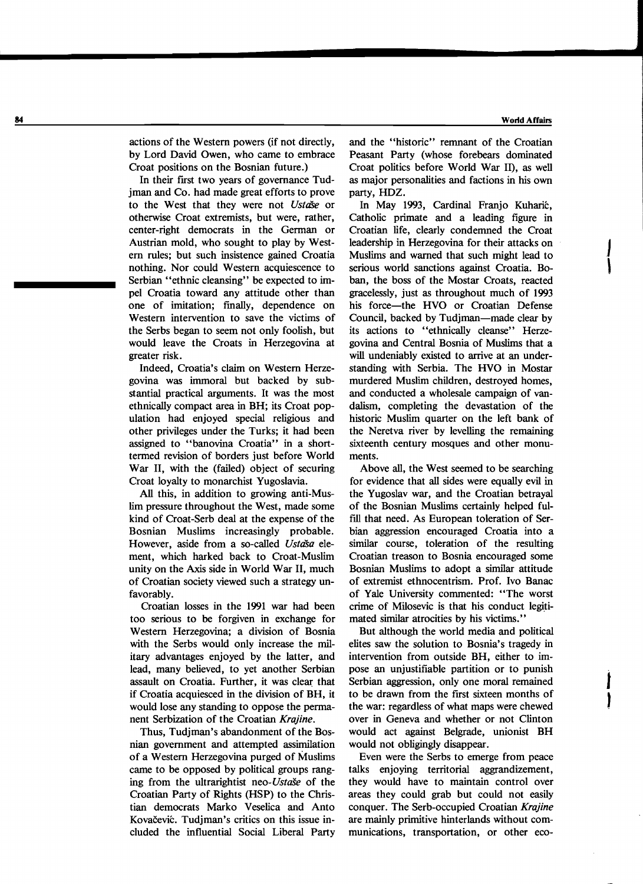J

I

 $\int$ 

actions of the Western powers (if not directly, by Lord David Owen, who came to embrace Croat positions on the Bosnian future.)

In their first two years of governance Tudjman and Co. had made great efforts to prove to the West that they were not *UstriSe* or otherwise Croat extremists, but were, rather, center-right democrats in the German or Austrian mold, who sought to play by Western rules; but such insistence gained Croatia nothing. Nor could Western acquiescence to Serbian "ethnic cleansing" be expected to impel Croatia toward any attitude other than one of imitation; fmally, dependence on Western intervention to save the victims of the Serbs began to seem not only foolish, but would leave the Croats in Herzegovina at greater risk.

Indeed, Croatia's claim on Western Herzegovina was immoral but backed by substantial practical arguments. It was the most ethnically compact area in BH; its Croat population had enjoyed special religious and other privileges under the Turks; it had been assigned to "banovina Croatia" in a shorttermed revision of borders just before World War II, with the (failed) object of securing Croat loyalty to monarchist Yugoslavia.

All this, in addition to growing anti-Muslim pressure throughout the West, made some kind of Croat-Serb deal at the expense of the Bosnian Muslims increasingly probable. However, aside from a so-called *Ustaša* element, which harked back to Croat-Muslim unity on the Axis side in World War II, much of Croatian society viewed such a strategy unfavorably.

Croatian losses in the 1991 war had been too serious to be forgiven in exchange for Western Herzegovina; a division of Bosnia with the Serbs would only increase the military advantages enjoyed by the latter, and lead, many believed, to yet another Serbian assault on Croatia. Further, it was clear that if Croatia acquiesced in the division of BH, it would lose any standing to oppose the permanent Serbization of the Croatian *Krajine.* 

Thus, Tudjman's abandonment of the Bosnian government and attempted assimilation of a Western Herzegovina purged of Muslims came to be opposed by political groups ranging from the ultrarightist *neo-UstaSe* of the Croatian Party of Rights (HSP) to the Christian democrats Marko Veselica and Anto Kovačević. Tudjman's critics on this issue included the influential Social Liberal Party

and the "historic" remnant of the Croatian Peasant Party (whose forebears dominated Croat politics before World War II), as well as major personalities and factions in his own party, HDZ.

In May 1993, Cardinal Franjo Kuharić, Catholic primate and a leading figure in Croatian life, clearly condemned the Croat leadership in Herzegovina for their attacks on Muslims and warned that such might lead to serious world sanctions against Croatia. Bo ban, the boss of the Mostar Croats, reacted gracelessly, just as throughout much of 1993 his force-the HVO or Croatian Defense Council, backed by Tudiman-made clear by its actions to "ethnically cleanse" Herzegovina and Central Bosnia of Muslims that a will undeniably existed to arrive at an understanding with Serbia. The HVO in Mostar murdered Muslim children, destroyed homes, and conducted a wholesale campaign of vandalism, completing the devastation of the historic Muslim quarter on the left bank of the Neretva river by levelling the remaining sixteenth century mosques and other monuments.

Above all, the West seemed to be searching for evidence that all sides were equally evil in the Yugoslav war, and the Croatian betrayal of the Bosnian Muslims certainly helped fulfill that need. As European toleration of Serbian aggression encouraged Croatia into a similar course, toleration of the resulting Croatian treason to Bosnia encouraged some Bosnian Muslims to adopt a similar attitude of extremist ethnocentrism. Prof. Ivo Banac of Yale University commented: "The worst crime of Milosevic is that his conduct legitimated similar atrocities by his victims."

But although the world media and political elites saw the solution to Bosnia's tragedy in intervention from outside BH, either to impose an unjustifiable partition or to punish Serbian aggression, only one moral remained to be drawn from the first sixteen months of ) the war: regardless of what maps were chewed over in Geneva and whether or not Clinton would act against Belgrade, unionist BH would not obligingly disappear.

Even were the Serbs to emerge from peace talks enjoying territorial aggrandizement, they would have to maintain control over areas they could grab but could not easily conquer. The Serb-occupied Croatian *Krajine*  are mainly primitive hinterlands without communications, transportation, or other eco-